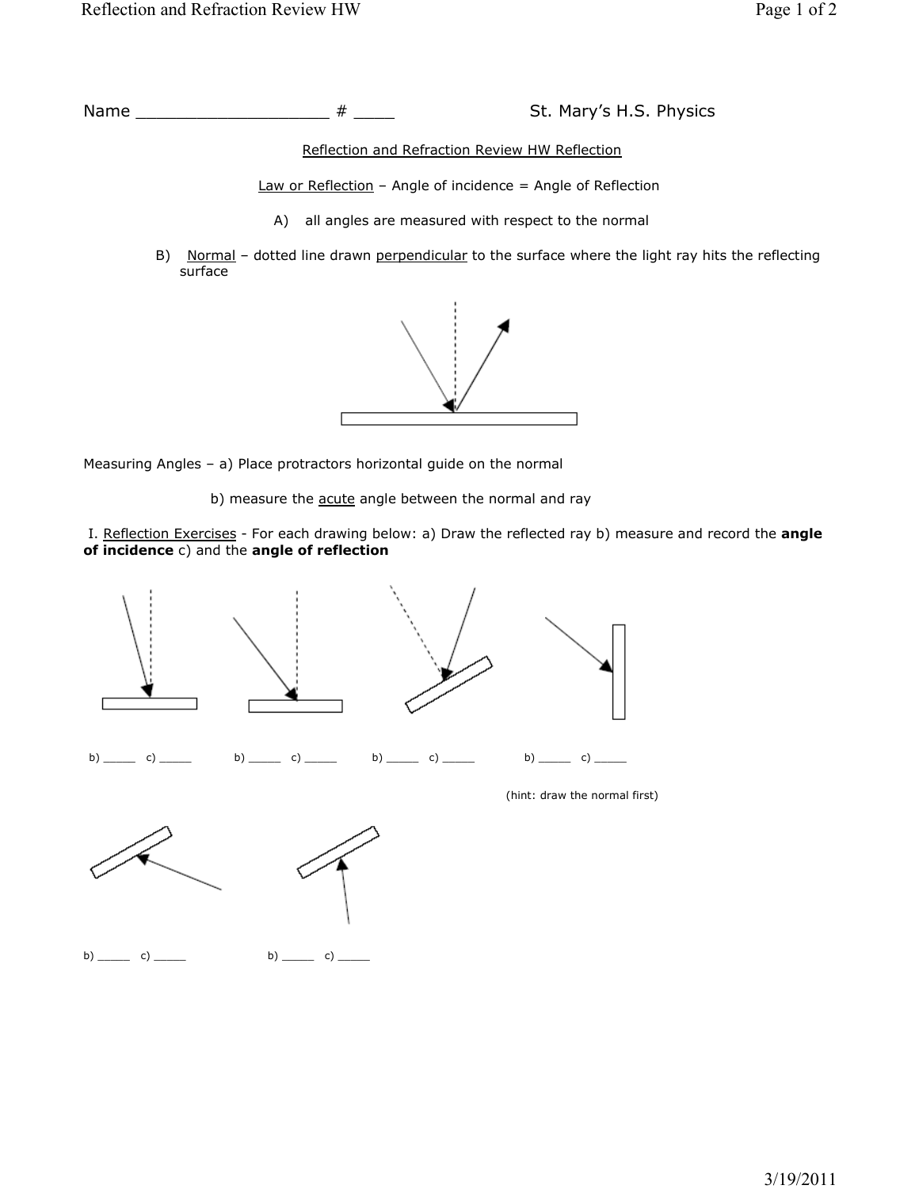Name \_\_\_\_\_\_\_\_\_\_\_\_\_\_\_\_\_\_\_\_\_\_\_ # \_\_\_\_\_\_ St. Mary's H.S. Physics

Reflection and Refraction Review HW Reflection

 $Law or Reflection - Angle of incidence = Angle of Reflection$ 

- A) all angles are measured with respect to the normal
- B) Normal dotted line drawn perpendicular to the surface where the light ray hits the reflecting surface



Measuring Angles – a) Place protractors horizontal guide on the normal

b) measure the **acute** angle between the normal and ray

I. Reflection Exercises - For each drawing below: a) Draw the reflected ray b) measure and record the angle of incidence c) and the angle of reflection